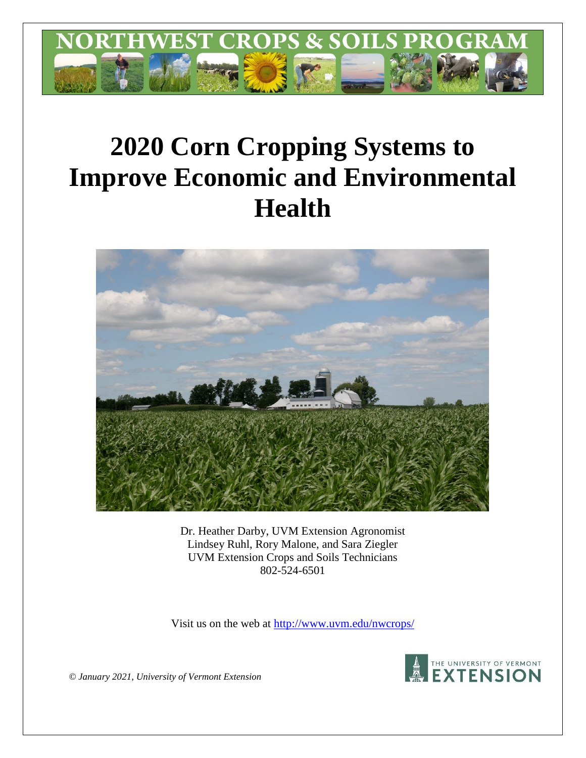

# **2020 Corn Cropping Systems to Improve Economic and Environmental Health**



Dr. Heather Darby, UVM Extension Agronomist Lindsey Ruhl, Rory Malone, and Sara Ziegler UVM Extension Crops and Soils Technicians 802-524-6501

Visit us on the web at [http://www.uvm.edu/nwcrops/](http://www.uvm.edu/nwcrops)



*© January 2021, University of Vermont Extension*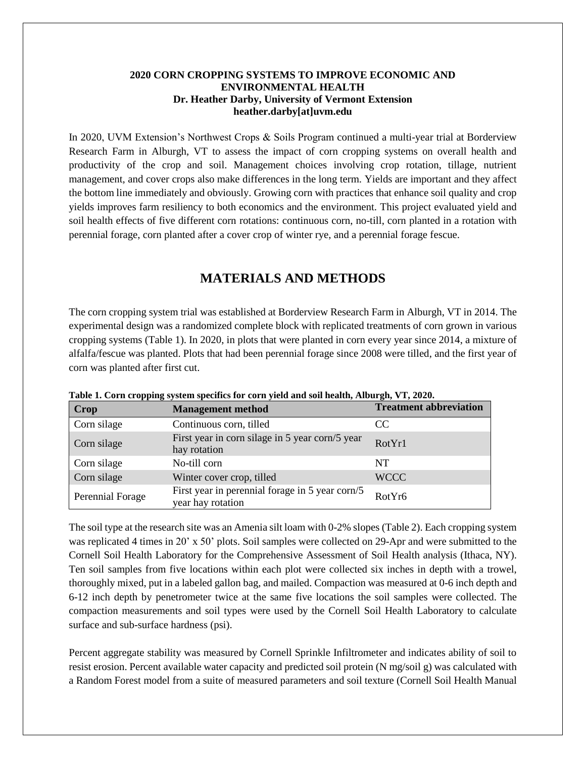## **2020 CORN CROPPING SYSTEMS TO IMPROVE ECONOMIC AND ENVIRONMENTAL HEALTH Dr. Heather Darby, University of Vermont Extension heather.darby[at]uvm.edu**

In 2020, UVM Extension's Northwest Crops & Soils Program continued a multi-year trial at Borderview Research Farm in Alburgh, VT to assess the impact of corn cropping systems on overall health and productivity of the crop and soil. Management choices involving crop rotation, tillage, nutrient management, and cover crops also make differences in the long term. Yields are important and they affect the bottom line immediately and obviously. Growing corn with practices that enhance soil quality and crop yields improves farm resiliency to both economics and the environment. This project evaluated yield and soil health effects of five different corn rotations: continuous corn, no-till, corn planted in a rotation with perennial forage, corn planted after a cover crop of winter rye, and a perennial forage fescue.

# **MATERIALS AND METHODS**

The corn cropping system trial was established at Borderview Research Farm in Alburgh, VT in 2014. The experimental design was a randomized complete block with replicated treatments of corn grown in various cropping systems (Table 1). In 2020, in plots that were planted in corn every year since 2014, a mixture of alfalfa/fescue was planted. Plots that had been perennial forage since 2008 were tilled, and the first year of corn was planted after first cut.

| Crop             | <b>Management method</b>                                             | <b>Treatment abbreviation</b> |
|------------------|----------------------------------------------------------------------|-------------------------------|
| Corn silage      | Continuous corn, tilled                                              | CC.                           |
| Corn silage      | First year in corn silage in 5 year corn/5 year<br>hay rotation      | RotYr1                        |
| Corn silage      | No-till corn                                                         | NT                            |
| Corn silage      | Winter cover crop, tilled                                            | <b>WCCC</b>                   |
| Perennial Forage | First year in perennial forage in 5 year corn/5<br>year hay rotation | RotYr6                        |

**Table 1. Corn cropping system specifics for corn yield and soil health, Alburgh, VT, 2020.**

The soil type at the research site was an Amenia silt loam with 0-2% slopes (Table 2). Each cropping system was replicated 4 times in 20' x 50' plots. Soil samples were collected on 29-Apr and were submitted to the Cornell Soil Health Laboratory for the Comprehensive Assessment of Soil Health analysis (Ithaca, NY). Ten soil samples from five locations within each plot were collected six inches in depth with a trowel, thoroughly mixed, put in a labeled gallon bag, and mailed. Compaction was measured at 0-6 inch depth and 6-12 inch depth by penetrometer twice at the same five locations the soil samples were collected. The compaction measurements and soil types were used by the Cornell Soil Health Laboratory to calculate surface and sub-surface hardness (psi).

Percent aggregate stability was measured by Cornell Sprinkle Infiltrometer and indicates ability of soil to resist erosion. Percent available water capacity and predicted soil protein (N mg/soil g) was calculated with a Random Forest model from a suite of measured parameters and soil texture (Cornell Soil Health Manual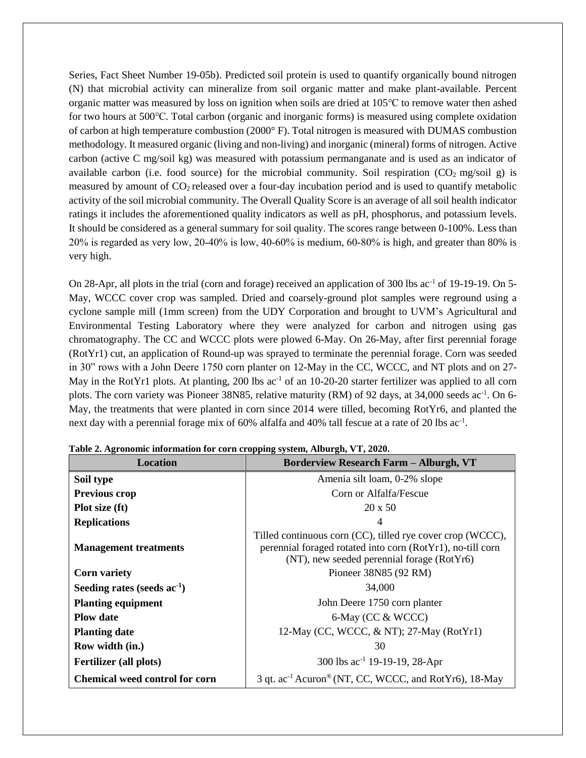Series, Fact Sheet Number 19-05b). Predicted soil protein is used to quantify organically bound nitrogen (N) that microbial activity can mineralize from soil organic matter and make plant-available. Percent organic matter was measured by loss on ignition when soils are dried at 105℃ to remove water then ashed for two hours at 500℃. Total carbon (organic and inorganic forms) is measured using complete oxidation of carbon at high temperature combustion (2000° F). Total nitrogen is measured with DUMAS combustion methodology. It measured organic (living and non-living) and inorganic (mineral) forms of nitrogen. Active carbon (active C mg/soil kg) was measured with potassium permanganate and is used as an indicator of available carbon (i.e. food source) for the microbial community. Soil respiration  $(CO_2 \text{ mg/soil g})$  is measured by amount of  $CO<sub>2</sub>$  released over a four-day incubation period and is used to quantify metabolic activity of the soil microbial community. The Overall Quality Score is an average of all soil health indicator ratings it includes the aforementioned quality indicators as well as pH, phosphorus, and potassium levels. It should be considered as a general summary for soil quality. The scores range between 0-100%. Less than 20% is regarded as very low, 20‐40% is low, 40‐60% is medium, 60‐80% is high, and greater than 80% is very high.

On 28-Apr, all plots in the trial (corn and forage) received an application of 300 lbs ac<sup>-1</sup> of 19-19-19. On 5-May, WCCC cover crop was sampled. Dried and coarsely-ground plot samples were reground using a cyclone sample mill (1mm screen) from the UDY Corporation and brought to UVM's Agricultural and Environmental Testing Laboratory where they were analyzed for carbon and nitrogen using gas chromatography. The CC and WCCC plots were plowed 6-May. On 26-May, after first perennial forage (RotYr1) cut, an application of Round-up was sprayed to terminate the perennial forage. Corn was seeded in 30" rows with a John Deere 1750 corn planter on 12-May in the CC, WCCC, and NT plots and on 27- May in the RotYr1 plots. At planting, 200 lbs  $ac^{-1}$  of an 10-20-20 starter fertilizer was applied to all corn plots. The corn variety was Pioneer 38N85, relative maturity (RM) of 92 days, at 34,000 seeds ac<sup>-1</sup>. On 6-May, the treatments that were planted in corn since 2014 were tilled, becoming RotYr6, and planted the next day with a perennial forage mix of 60% alfalfa and 40% tall fescue at a rate of 20 lbs ac<sup>-1</sup>.

| <b>Location</b>                       | <b>Borderview Research Farm - Alburgh, VT</b>                                                                                                                          |
|---------------------------------------|------------------------------------------------------------------------------------------------------------------------------------------------------------------------|
| Soil type                             | Amenia silt loam, 0-2% slope                                                                                                                                           |
| <b>Previous crop</b>                  | Corn or Alfalfa/Fescue                                                                                                                                                 |
| Plot size (ft)                        | $20 \times 50$                                                                                                                                                         |
| <b>Replications</b>                   |                                                                                                                                                                        |
| <b>Management treatments</b>          | Tilled continuous corn (CC), tilled rye cover crop (WCCC),<br>perennial foraged rotated into corn (RotYr1), no-till corn<br>(NT), new seeded perennial forage (RotYr6) |
| <b>Corn variety</b>                   | Pioneer 38N85 (92 RM)                                                                                                                                                  |
| Seeding rates (seeds $ac^{-1}$ )      | 34,000                                                                                                                                                                 |
| <b>Planting equipment</b>             | John Deere 1750 corn planter                                                                                                                                           |
| <b>Plow date</b>                      | 6-May (CC & WCCC)                                                                                                                                                      |
| <b>Planting date</b>                  | 12-May (CC, WCCC, $\&$ NT); 27-May (RotYr1)                                                                                                                            |
| Row width (in.)                       | 30                                                                                                                                                                     |
| <b>Fertilizer</b> (all plots)         | 300 lbs ac <sup>-1</sup> 19-19-19, 28-Apr                                                                                                                              |
| <b>Chemical weed control for corn</b> | 3 qt. ac <sup>-1</sup> Acuron <sup>®</sup> (NT, CC, WCCC, and RotYr6), 18-May                                                                                          |

**Table 2. Agronomic information for corn cropping system, Alburgh, VT, 2020.**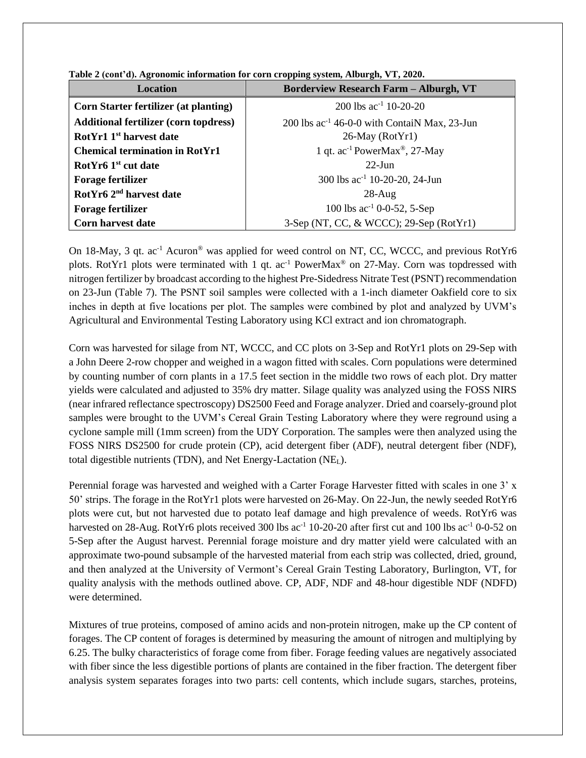| <b>Location</b>                              | $\mathbf{r}$ and $\mathbf{r}$ and $\mathbf{r}$ and $\mathbf{r}$ are morning to the correct opposite of $\mathbf{r}$ and $\mathbf{r}$ and $\mathbf{r}$ and $\mathbf{r}$ and $\mathbf{r}$ and $\mathbf{r}$ and $\mathbf{r}$ and $\mathbf{r}$ and $\mathbf{r}$ and $\mathbf{r}$ and $\mathbf$<br><b>Borderview Research Farm - Alburgh, VT</b> |
|----------------------------------------------|---------------------------------------------------------------------------------------------------------------------------------------------------------------------------------------------------------------------------------------------------------------------------------------------------------------------------------------------|
| <b>Corn Starter fertilizer (at planting)</b> | 200 lbs $ac^{-1}$ 10-20-20                                                                                                                                                                                                                                                                                                                  |
| <b>Additional fertilizer (corn topdress)</b> | 200 lbs ac <sup>-1</sup> 46-0-0 with ContaiN Max, 23-Jun                                                                                                                                                                                                                                                                                    |
| RotYr1 1 <sup>st</sup> harvest date          | $26$ -May (RotYr1)                                                                                                                                                                                                                                                                                                                          |
| <b>Chemical termination in RotYr1</b>        | 1 qt. $ac^{-1}$ PowerMax <sup>®</sup> , 27-May                                                                                                                                                                                                                                                                                              |
| RotYr6 1 <sup>st</sup> cut date              | $22$ -Jun                                                                                                                                                                                                                                                                                                                                   |
| <b>Forage fertilizer</b>                     | 300 lbs ac <sup>-1</sup> 10-20-20, 24-Jun                                                                                                                                                                                                                                                                                                   |
| RotYr6 2 <sup>nd</sup> harvest date          | $28-Aug$                                                                                                                                                                                                                                                                                                                                    |
| <b>Forage fertilizer</b>                     | 100 lbs $ac^{-1}$ 0-0-52, 5-Sep                                                                                                                                                                                                                                                                                                             |
| <b>Corn harvest date</b>                     | 3-Sep (NT, CC, & WCCC); 29-Sep (RotYr1)                                                                                                                                                                                                                                                                                                     |

**Table 2 (cont'd). Agronomic information for corn cropping system, Alburgh, VT, 2020.**

On 18-May, 3 qt. ac<sup>-1</sup> Acuron<sup>®</sup> was applied for weed control on NT, CC, WCCC, and previous RotYr6 plots. RotYr1 plots were terminated with 1 qt.  $ac^{-1}$  PowerMax<sup>®</sup> on 27-May. Corn was topdressed with nitrogen fertilizer by broadcast according to the highest Pre-Sidedress Nitrate Test (PSNT) recommendation on 23-Jun (Table 7). The PSNT soil samples were collected with a 1-inch diameter Oakfield core to six inches in depth at five locations per plot. The samples were combined by plot and analyzed by UVM's Agricultural and Environmental Testing Laboratory using KCl extract and ion chromatograph.

Corn was harvested for silage from NT, WCCC, and CC plots on 3-Sep and RotYr1 plots on 29-Sep with a John Deere 2-row chopper and weighed in a wagon fitted with scales. Corn populations were determined by counting number of corn plants in a 17.5 feet section in the middle two rows of each plot. Dry matter yields were calculated and adjusted to 35% dry matter. Silage quality was analyzed using the FOSS NIRS (near infrared reflectance spectroscopy) DS2500 Feed and Forage analyzer. Dried and coarsely-ground plot samples were brought to the UVM's Cereal Grain Testing Laboratory where they were reground using a cyclone sample mill (1mm screen) from the UDY Corporation. The samples were then analyzed using the FOSS NIRS DS2500 for crude protein (CP), acid detergent fiber (ADF), neutral detergent fiber (NDF), total digestible nutrients (TDN), and Net Energy-Lactation  $(NE_L)$ .

Perennial forage was harvested and weighed with a Carter Forage Harvester fitted with scales in one 3' x 50' strips. The forage in the RotYr1 plots were harvested on 26-May. On 22-Jun, the newly seeded RotYr6 plots were cut, but not harvested due to potato leaf damage and high prevalence of weeds. RotYr6 was harvested on 28-Aug. RotYr6 plots received 300 lbs  $ac^{-1}$  10-20-20 after first cut and 100 lbs  $ac^{-1}$  0-0-52 on 5-Sep after the August harvest. Perennial forage moisture and dry matter yield were calculated with an approximate two-pound subsample of the harvested material from each strip was collected, dried, ground, and then analyzed at the University of Vermont's Cereal Grain Testing Laboratory, Burlington, VT, for quality analysis with the methods outlined above. CP, ADF, NDF and 48-hour digestible NDF (NDFD) were determined.

Mixtures of true proteins, composed of amino acids and non-protein nitrogen, make up the CP content of forages. The CP content of forages is determined by measuring the amount of nitrogen and multiplying by 6.25. The bulky characteristics of forage come from fiber. Forage feeding values are negatively associated with fiber since the less digestible portions of plants are contained in the fiber fraction. The detergent fiber analysis system separates forages into two parts: cell contents, which include sugars, starches, proteins,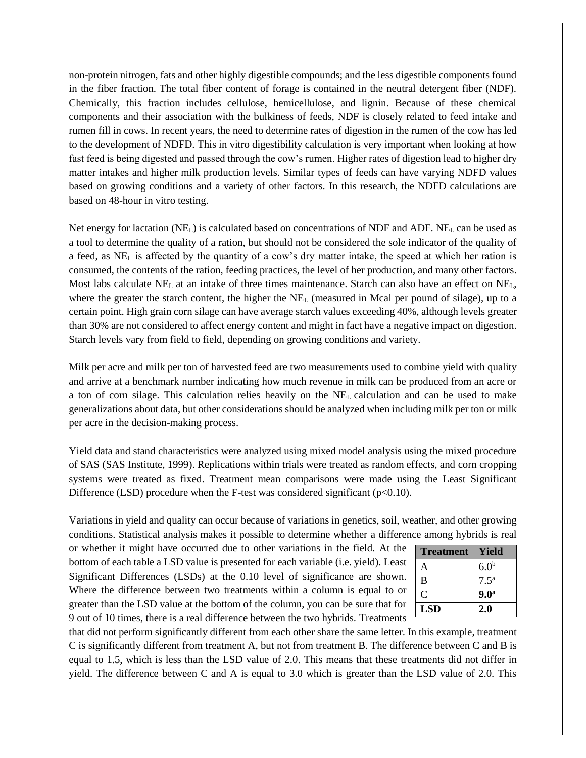non-protein nitrogen, fats and other highly digestible compounds; and the less digestible components found in the fiber fraction. The total fiber content of forage is contained in the neutral detergent fiber (NDF). Chemically, this fraction includes cellulose, hemicellulose, and lignin. Because of these chemical components and their association with the bulkiness of feeds, NDF is closely related to feed intake and rumen fill in cows. In recent years, the need to determine rates of digestion in the rumen of the cow has led to the development of NDFD. This in vitro digestibility calculation is very important when looking at how fast feed is being digested and passed through the cow's rumen. Higher rates of digestion lead to higher dry matter intakes and higher milk production levels. Similar types of feeds can have varying NDFD values based on growing conditions and a variety of other factors. In this research, the NDFD calculations are based on 48-hour in vitro testing.

Net energy for lactation  $(NE_L)$  is calculated based on concentrations of NDF and ADF.  $NE_L$  can be used as a tool to determine the quality of a ration, but should not be considered the sole indicator of the quality of a feed, as NE<sup>L</sup> is affected by the quantity of a cow's dry matter intake, the speed at which her ration is consumed, the contents of the ration, feeding practices, the level of her production, and many other factors. Most labs calculate NE<sub>L</sub> at an intake of three times maintenance. Starch can also have an effect on NE<sub>L</sub>, where the greater the starch content, the higher the  $NE<sub>L</sub>$  (measured in Mcal per pound of silage), up to a certain point. High grain corn silage can have average starch values exceeding 40%, although levels greater than 30% are not considered to affect energy content and might in fact have a negative impact on digestion. Starch levels vary from field to field, depending on growing conditions and variety.

Milk per acre and milk per ton of harvested feed are two measurements used to combine yield with quality and arrive at a benchmark number indicating how much revenue in milk can be produced from an acre or a ton of corn silage. This calculation relies heavily on the NE<sup>L</sup> calculation and can be used to make generalizations about data, but other considerations should be analyzed when including milk per ton or milk per acre in the decision-making process.

Yield data and stand characteristics were analyzed using mixed model analysis using the mixed procedure of SAS (SAS Institute, 1999). Replications within trials were treated as random effects, and corn cropping systems were treated as fixed. Treatment mean comparisons were made using the Least Significant Difference (LSD) procedure when the F-test was considered significant ( $p<0.10$ ).

Variations in yield and quality can occur because of variations in genetics, soil, weather, and other growing conditions. Statistical analysis makes it possible to determine whether a difference among hybrids is real

or whether it might have occurred due to other variations in the field. At the bottom of each table a LSD value is presented for each variable (i.e. yield). Least Significant Differences (LSDs) at the 0.10 level of significance are shown. Where the difference between two treatments within a column is equal to or greater than the LSD value at the bottom of the column, you can be sure that for 9 out of 10 times, there is a real difference between the two hybrids. Treatments

| <b>Treatment</b> | Yield            |
|------------------|------------------|
| A                | 6.0 <sup>b</sup> |
| B                | 7.5 <sup>a</sup> |
| C                | 9.0 <sup>a</sup> |
| <b>LSD</b>       | 2.0              |

that did not perform significantly different from each other share the same letter. In this example, treatment C is significantly different from treatment A, but not from treatment B. The difference between C and B is equal to 1.5, which is less than the LSD value of 2.0. This means that these treatments did not differ in yield. The difference between C and A is equal to 3.0 which is greater than the LSD value of 2.0. This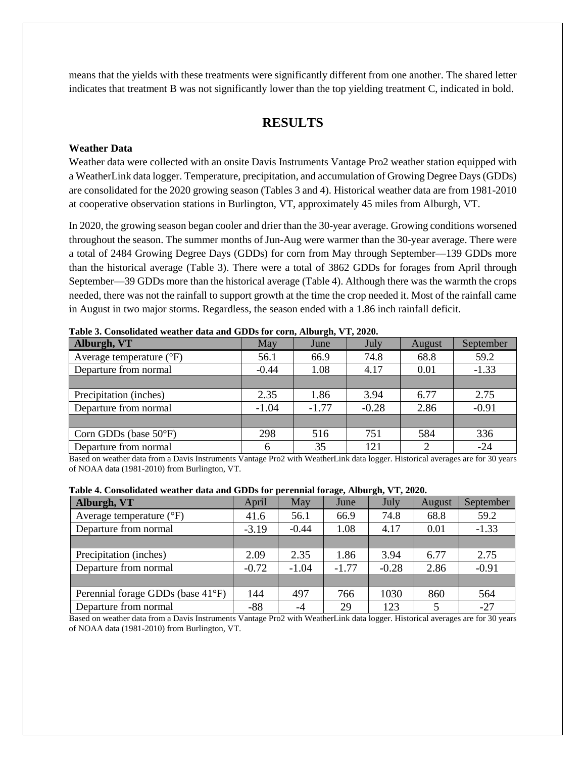means that the yields with these treatments were significantly different from one another. The shared letter indicates that treatment B was not significantly lower than the top yielding treatment C, indicated in bold.

## **RESULTS**

#### **Weather Data**

Weather data were collected with an onsite Davis Instruments Vantage Pro2 weather station equipped with a WeatherLink data logger. Temperature, precipitation, and accumulation of Growing Degree Days (GDDs) are consolidated for the 2020 growing season (Tables 3 and 4). Historical weather data are from 1981-2010 at cooperative observation stations in Burlington, VT, approximately 45 miles from Alburgh, VT.

In 2020, the growing season began cooler and drier than the 30-year average. Growing conditions worsened throughout the season. The summer months of Jun-Aug were warmer than the 30-year average. There were a total of 2484 Growing Degree Days (GDDs) for corn from May through September—139 GDDs more than the historical average (Table 3). There were a total of 3862 GDDs for forages from April through September—39 GDDs more than the historical average (Table 4). Although there was the warmth the crops needed, there was not the rainfall to support growth at the time the crop needed it. Most of the rainfall came in August in two major storms. Regardless, the season ended with a 1.86 inch rainfall deficit.

| Table of Consolidated weather data and ODDs for corn, Another, y T, 2020, |         |         |         |        |               |  |  |  |
|---------------------------------------------------------------------------|---------|---------|---------|--------|---------------|--|--|--|
| Alburgh, VT                                                               | May     | June    | July    | August | September     |  |  |  |
| Average temperature $(^{\circ}F)$                                         | 56.1    | 66.9    | 74.8    | 68.8   | 59.2          |  |  |  |
| Departure from normal                                                     | $-0.44$ | 1.08    | 4.17    | 0.01   | $-1.33$       |  |  |  |
|                                                                           |         |         |         |        |               |  |  |  |
| Precipitation (inches)                                                    | 2.35    | 1.86    | 3.94    | 6.77   | 2.75          |  |  |  |
| Departure from normal                                                     | $-1.04$ | $-1.77$ | $-0.28$ | 2.86   | $-0.91$       |  |  |  |
|                                                                           |         |         |         |        |               |  |  |  |
| Corn GDDs (base $50^{\circ}$ F)                                           | 298     | 516     | 751     | 584    | 336           |  |  |  |
| Departure from normal                                                     |         | 35      | 121     |        | $-24$         |  |  |  |
| .                                                                         |         | .       | .       | ---    | $\sim$ $\sim$ |  |  |  |

**Table 3. Consolidated weather data and GDDs for corn, Alburgh, VT, 2020.**

Based on weather data from a Davis Instruments Vantage Pro2 with WeatherLink data logger. Historical averages are for 30 years of NOAA data (1981-2010) from Burlington, VT.

| Table 4. Consolidated weather data and GDDs for perennial forage, Alburgh, VT, 2020. |  |
|--------------------------------------------------------------------------------------|--|
|--------------------------------------------------------------------------------------|--|

| Alburgh, VT                       | April   | May     | June    | July    | August | September |
|-----------------------------------|---------|---------|---------|---------|--------|-----------|
| Average temperature $(^{\circ}F)$ | 41.6    | 56.1    | 66.9    | 74.8    | 68.8   | 59.2      |
| Departure from normal             | $-3.19$ | $-0.44$ | 1.08    | 4.17    | 0.01   | $-1.33$   |
|                                   |         |         |         |         |        |           |
| Precipitation (inches)            | 2.09    | 2.35    | 1.86    | 3.94    | 6.77   | 2.75      |
| Departure from normal             | $-0.72$ | $-1.04$ | $-1.77$ | $-0.28$ | 2.86   | $-0.91$   |
|                                   |         |         |         |         |        |           |
| Perennial forage GDDs (base 41°F) | 144     | 497     | 766     | 1030    | 860    | 564       |
| Departure from normal             | $-88$   | -4      | 29      | 123     | 5      | $-27$     |

Based on weather data from a Davis Instruments Vantage Pro2 with WeatherLink data logger. Historical averages are for 30 years of NOAA data (1981-2010) from Burlington, VT.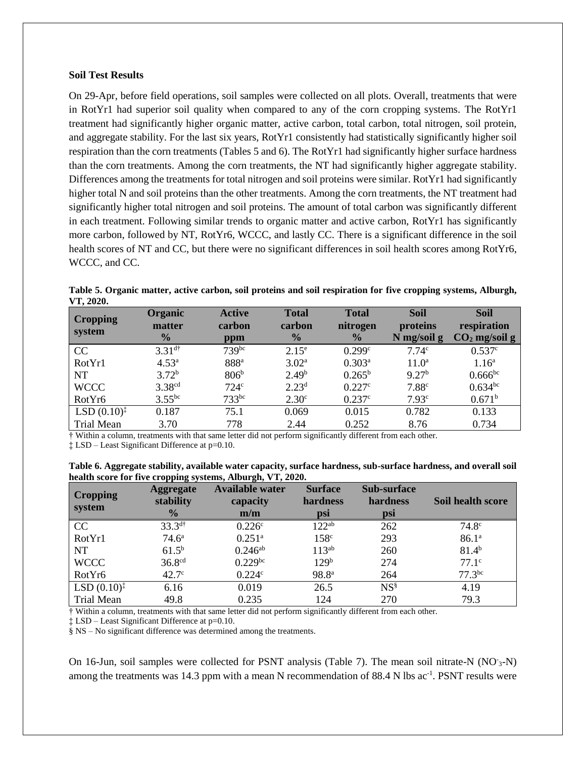#### **Soil Test Results**

On 29-Apr, before field operations, soil samples were collected on all plots. Overall, treatments that were in RotYr1 had superior soil quality when compared to any of the corn cropping systems. The RotYr1 treatment had significantly higher organic matter, active carbon, total carbon, total nitrogen, soil protein, and aggregate stability. For the last six years, RotYr1 consistently had statistically significantly higher soil respiration than the corn treatments (Tables 5 and 6). The RotYr1 had significantly higher surface hardness than the corn treatments. Among the corn treatments, the NT had significantly higher aggregate stability. Differences among the treatments for total nitrogen and soil proteins were similar. RotYr1 had significantly higher total N and soil proteins than the other treatments. Among the corn treatments, the NT treatment had significantly higher total nitrogen and soil proteins. The amount of total carbon was significantly different in each treatment. Following similar trends to organic matter and active carbon, RotYr1 has significantly more carbon, followed by NT, RotYr6, WCCC, and lastly CC. There is a significant difference in the soil health scores of NT and CC, but there were no significant differences in soil health scores among RotYr6, WCCC, and CC.

| <b>Cropping</b><br>system | <b>Organic</b><br>matter<br>$\frac{0}{0}$ | <b>Active</b><br>carbon<br>ppm | <b>Total</b><br>carbon<br>$\frac{0}{0}$ | <b>Total</b><br>nitrogen<br>$\frac{0}{2}$ | <b>Soil</b><br>proteins<br>$N$ mg/soil g | <b>Soil</b><br>respiration<br>$CO2$ mg/soil g |
|---------------------------|-------------------------------------------|--------------------------------|-----------------------------------------|-------------------------------------------|------------------------------------------|-----------------------------------------------|
| CC                        | $3.31^{d\dagger}$                         | $739^{bc}$                     | $2.15^{\circ}$                          | 0.299c                                    | 7.74 <sup>c</sup>                        | 0.537c                                        |
| RotYr1                    | 4.53 <sup>a</sup>                         | 888ª                           | 3.02 <sup>a</sup>                       | $0.303^{a}$                               | $11.0^{\rm a}$                           | $1.16^{\rm a}$                                |
| <b>NT</b>                 | $3.72^{b}$                                | 806 <sup>b</sup>               | 2.49 <sup>b</sup>                       | $0.265^{\rm b}$                           | 9.27 <sup>b</sup>                        | $0.666^{bc}$                                  |
| <b>WCCC</b>               | 3.38 <sup>cd</sup>                        | 724c                           | 2.23 <sup>d</sup>                       | 0.227c                                    | 7.88 <sup>c</sup>                        | $0.634^{bc}$                                  |
| RotYr6                    | $3.55^{bc}$                               | $733^{bc}$                     | 2.30 <sup>c</sup>                       | 0.237c                                    | 7.93c                                    | 0.671 <sup>b</sup>                            |
| LSD $(0.10)^{\ddagger}$   | 0.187                                     | 75.1                           | 0.069                                   | 0.015                                     | 0.782                                    | 0.133                                         |
| <b>Trial Mean</b>         | 3.70                                      | 778                            | 2.44                                    | 0.252                                     | 8.76                                     | 0.734                                         |

**Table 5. Organic matter, active carbon, soil proteins and soil respiration for five cropping systems, Alburgh, VT, 2020.**

† Within a column, treatments with that same letter did not perform significantly different from each other.

‡ LSD – Least Significant Difference at p=0.10.

**Table 6. Aggregate stability, available water capacity, surface hardness, sub-surface hardness, and overall soil health score for five cropping systems, Alburgh, VT, 2020.**

| <b>Cropping</b><br>system | <b>Aggregate</b><br>stability<br>$\frac{0}{0}$ | Available water<br>capacity<br>m/m | <b>Surface</b><br>hardness<br>psi | <b>Sub-surface</b><br>hardness<br>psi | Soil health score |
|---------------------------|------------------------------------------------|------------------------------------|-----------------------------------|---------------------------------------|-------------------|
| CC                        | $33.3^{d\dagger}$                              | 0.226c                             | $122^{ab}$                        | 262                                   | 74.8 <sup>c</sup> |
| RotYr1                    | 74.6 <sup>a</sup>                              | $0.251$ <sup>a</sup>               | 158 <sup>c</sup>                  | 293                                   | 86.1 <sup>a</sup> |
| <b>NT</b>                 | $61.5^{b}$                                     | $0.246^{ab}$                       | $113^{ab}$                        | 260                                   | $81.4^{b}$        |
| <b>WCCC</b>               | 36.8 <sup>cd</sup>                             | $0.229^{bc}$                       | 129 <sup>b</sup>                  | 274                                   | 77.1 <sup>c</sup> |
| RotYr6                    | 42.7 <sup>c</sup>                              | 0.224c                             | 98.8 <sup>a</sup>                 | 264                                   | $77.3^{bc}$       |
| $LSD (0.10)^{\ddagger}$   | 6.16                                           | 0.019                              | 26.5                              | $NS^{\S}$                             | 4.19              |
| <b>Trial Mean</b>         | 49.8                                           | 0.235                              | 124                               | 270                                   | 79.3              |

† Within a column, treatments with that same letter did not perform significantly different from each other.

‡ LSD – Least Significant Difference at p=0.10.

§ NS – No significant difference was determined among the treatments.

On 16-Jun, soil samples were collected for PSNT analysis (Table 7). The mean soil nitrate-N (NO<sup>-3-</sup>N) among the treatments was 14.3 ppm with a mean N recommendation of 88.4 N lbs ac<sup>-1</sup>. PSNT results were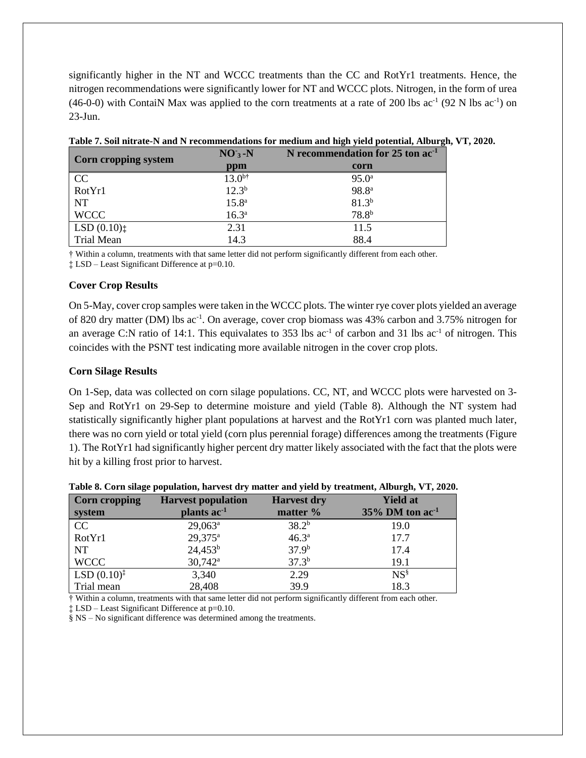significantly higher in the NT and WCCC treatments than the CC and RotYr1 treatments. Hence, the nitrogen recommendations were significantly lower for NT and WCCC plots. Nitrogen, in the form of urea  $(46-0-0)$  with ContaiN Max was applied to the corn treatments at a rate of 200 lbs  $ac^{-1}$  (92 N lbs  $ac^{-1}$ ) on 23-Jun.

| <b>Corn cropping system</b> | $NO3 - N$         | N recommendation for $25$ ton $ac-1$ |
|-----------------------------|-------------------|--------------------------------------|
|                             | ppm               | corn                                 |
| CC                          | $13.0^{b\dagger}$ | $95.0^{\rm a}$                       |
| RotYr1                      | $12.3^{b}$        | 98.8 <sup>a</sup>                    |
| <b>NT</b>                   | 15.8 <sup>a</sup> | $81.3^{b}$                           |
| <b>WCCC</b>                 | $16.3^{a}$        | 78.8 <sup>b</sup>                    |
| LSD(0.10)                   | 2.31              | 11.5                                 |
| Trial Mean                  | 14.3              | 88.4                                 |

**Table 7. Soil nitrate-N and N recommendations for medium and high yield potential, Alburgh, VT, 2020.**

† Within a column, treatments with that same letter did not perform significantly different from each other.

‡ LSD – Least Significant Difference at p=0.10.

## **Cover Crop Results**

On 5-May, cover crop samples were taken in the WCCC plots. The winter rye cover plots yielded an average of 820 dry matter (DM) lbs ac<sup>-1</sup>. On average, cover crop biomass was 43% carbon and 3.75% nitrogen for an average C:N ratio of 14:1. This equivalates to 353 lbs  $ac^{-1}$  of carbon and 31 lbs  $ac^{-1}$  of nitrogen. This coincides with the PSNT test indicating more available nitrogen in the cover crop plots.

## **Corn Silage Results**

On 1-Sep, data was collected on corn silage populations. CC, NT, and WCCC plots were harvested on 3- Sep and RotYr1 on 29-Sep to determine moisture and yield (Table 8). Although the NT system had statistically significantly higher plant populations at harvest and the RotYr1 corn was planted much later, there was no corn yield or total yield (corn plus perennial forage) differences among the treatments (Figure 1). The RotYr1 had significantly higher percent dry matter likely associated with the fact that the plots were hit by a killing frost prior to harvest.

| <b>Corn cropping</b>    | <b>Harvest population</b> | <b>Harvest dry</b> | <b>Yield at</b>                |
|-------------------------|---------------------------|--------------------|--------------------------------|
| system                  | plants ac <sup>-1</sup>   | matter %           | $35\%$ DM ton ac <sup>-1</sup> |
| CC                      | $29,063^a$                | 38.2 <sup>b</sup>  | 19.0                           |
| RotYr1                  | $29,375^a$                | $46.3^{a}$         | 17.7                           |
| <b>NT</b>               | $24,453^b$                | $37.9^{b}$         | 17.4                           |
| <b>WCCC</b>             | $30,742^{\rm a}$          | $37.3^{b}$         | 19.1                           |
| $LSD (0.10)^{\ddagger}$ | 3,340                     | 2.29               | $NS^{\S}$                      |
| Trial mean              | 28,408                    | 39.9               | 18.3                           |

|  |  | Table 8. Corn silage population, harvest dry matter and yield by treatment, Alburgh, VT, 2020. |  |  |  |
|--|--|------------------------------------------------------------------------------------------------|--|--|--|
|  |  |                                                                                                |  |  |  |

† Within a column, treatments with that same letter did not perform significantly different from each other.

‡ LSD – Least Significant Difference at p=0.10.

§ NS – No significant difference was determined among the treatments.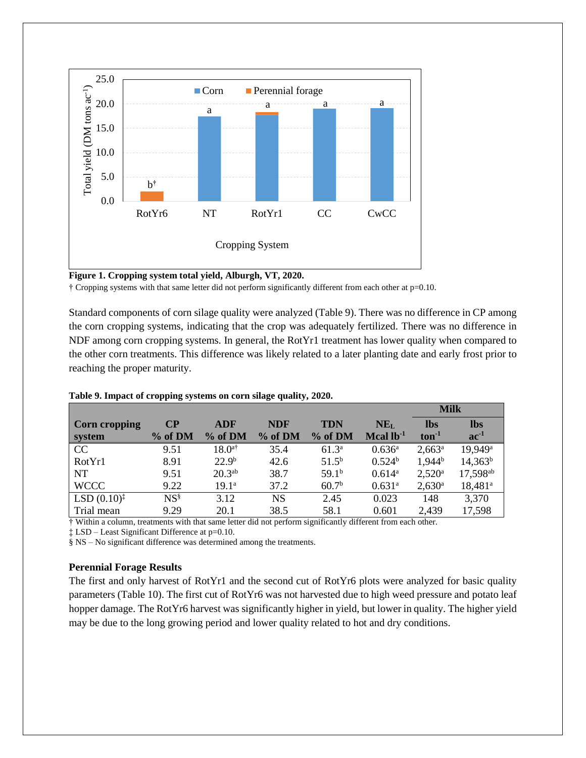

**Figure 1. Cropping system total yield, Alburgh, VT, 2020.**

† Cropping systems with that same letter did not perform significantly different from each other at p=0.10.

Standard components of corn silage quality were analyzed (Table 9). There was no difference in CP among the corn cropping systems, indicating that the crop was adequately fertilized. There was no difference in NDF among corn cropping systems. In general, the RotYr1 treatment has lower quality when compared to the other corn treatments. This difference was likely related to a later planting date and early frost prior to reaching the proper maturity.

|                         |           |                      |            |                   |                 | <b>Milk</b>     |                      |  |
|-------------------------|-----------|----------------------|------------|-------------------|-----------------|-----------------|----------------------|--|
| Corn cropping           | $\bf CP$  | <b>ADF</b>           | <b>NDF</b> | <b>TDN</b>        | NE <sub>L</sub> | <b>lbs</b>      | <b>lbs</b>           |  |
| system                  | % of DM   | % of DM              | % of DM    | % of DM           | Mcal $lb^{-1}$  | $ton-1$         | $ac^{-1}$            |  |
| CC                      | 9.51      | $18.0$ <sup>a†</sup> | 35.4       | $61.3^{\circ}$    | $0.636^{a}$     | $2,663^a$       | 19,949 <sup>a</sup>  |  |
| RotYr1                  | 8.91      | 22.9 <sup>b</sup>    | 42.6       | $51.5^{\rm b}$    | $0.524^b$       | $1,944^{b}$     | $14,363^b$           |  |
| <b>NT</b>               | 9.51      | $20.3^{ab}$          | 38.7       | 59.1 <sup>b</sup> | $0.614^a$       | $2,520^{\rm a}$ | 17,598 <sup>ab</sup> |  |
| <b>WCCC</b>             | 9.22      | $19.1^{\circ}$       | 37.2       | 60.7 <sup>b</sup> | $0.631^{a}$     | $2,630^{\rm a}$ | $18,481^a$           |  |
| $LSD (0.10)^{\ddagger}$ | $NS^{\S}$ | 3.12                 | NS         | 2.45              | 0.023           | 148             | 3,370                |  |
| Trial mean              | 9.29      | 20.1                 | 38.5       | 58.1              | 0.601           | 2,439           | 17,598               |  |

**Table 9. Impact of cropping systems on corn silage quality, 2020.**

† Within a column, treatments with that same letter did not perform significantly different from each other.

‡ LSD – Least Significant Difference at p=0.10.

§ NS – No significant difference was determined among the treatments.

#### **Perennial Forage Results**

The first and only harvest of RotYr1 and the second cut of RotYr6 plots were analyzed for basic quality parameters (Table 10). The first cut of RotYr6 was not harvested due to high weed pressure and potato leaf hopper damage. The RotYr6 harvest was significantly higher in yield, but lower in quality. The higher yield may be due to the long growing period and lower quality related to hot and dry conditions.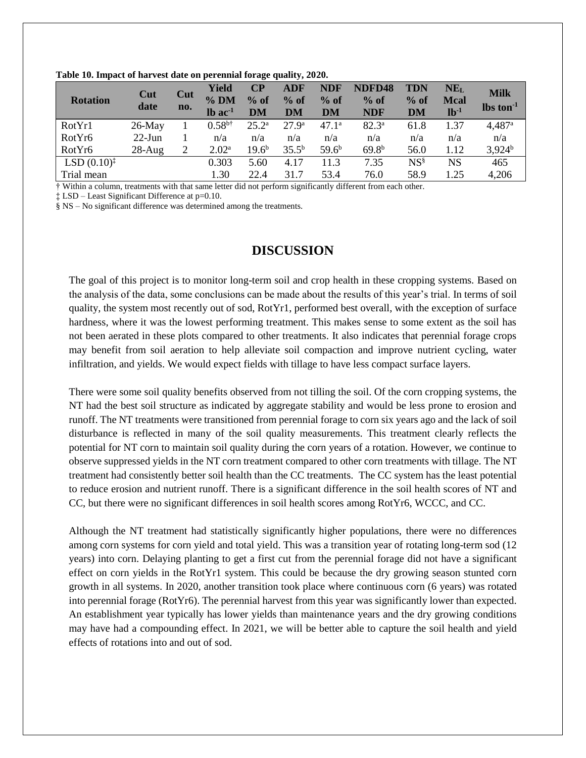| <b>Rotation</b>    | Cut<br>date | Cut<br>no. | Yield<br>$%$ DM<br>$lb$ ac <sup>-1</sup> | CР<br>$%$ of<br>DM | ADF<br>$%$ of<br>DM | <b>NDF</b><br>$%$ of<br>DM | NDFD48<br>$%$ of<br><b>NDF</b> | <b>TDN</b><br>$%$ of<br><b>DM</b> | NE <sub>L</sub><br><b>Mcal</b><br>$lb-1$ | <b>Milk</b><br>$\text{lbs ton}^{-1}$ |
|--------------------|-------------|------------|------------------------------------------|--------------------|---------------------|----------------------------|--------------------------------|-----------------------------------|------------------------------------------|--------------------------------------|
| RotYr1             | $26$ -May   |            | $0.58^{b\dagger}$                        | $25.2^{\rm a}$     | $27.9^{\rm a}$      | $47.1^{\circ}$             | $82.3^{\circ}$                 | 61.8                              | 1.37                                     | 4,487 <sup>a</sup>                   |
| RotYr <sub>6</sub> | $22$ -Jun   |            | n/a                                      | n/a                | n/a                 | n/a                        | n/a                            | n/a                               | n/a                                      | n/a                                  |
| RotYr6             | $28-Aug$    | 2          | $2.02^{\rm a}$                           | $19.6^{\rm b}$     | $35.5^{b}$          | $59.6^{b}$                 | $69.8^{b}$                     | 56.0                              | 1.12                                     | $3,924^b$                            |
| LSD $(0.10)^{*}$   |             |            | 0.303                                    | 5.60               | 4.17                | 11.3                       | 7.35                           | $\mathrm{NS}^{\S}$                | <b>NS</b>                                | 465                                  |
| Trial mean         |             |            | 1.30                                     | 22.4               | 31.7                | 53.4                       | 76.0                           | 58.9                              | 1.25                                     | 4,206                                |

**Table 10. Impact of harvest date on perennial forage quality, 2020.**

† Within a column, treatments with that same letter did not perform significantly different from each other.

‡ LSD – Least Significant Difference at p=0.10.

§ NS – No significant difference was determined among the treatments.

## **DISCUSSION**

The goal of this project is to monitor long-term soil and crop health in these cropping systems. Based on the analysis of the data, some conclusions can be made about the results of this year's trial. In terms of soil quality, the system most recently out of sod, RotYr1, performed best overall, with the exception of surface hardness, where it was the lowest performing treatment. This makes sense to some extent as the soil has not been aerated in these plots compared to other treatments. It also indicates that perennial forage crops may benefit from soil aeration to help alleviate soil compaction and improve nutrient cycling, water infiltration, and yields. We would expect fields with tillage to have less compact surface layers.

There were some soil quality benefits observed from not tilling the soil. Of the corn cropping systems, the NT had the best soil structure as indicated by aggregate stability and would be less prone to erosion and runoff. The NT treatments were transitioned from perennial forage to corn six years ago and the lack of soil disturbance is reflected in many of the soil quality measurements. This treatment clearly reflects the potential for NT corn to maintain soil quality during the corn years of a rotation. However, we continue to observe suppressed yields in the NT corn treatment compared to other corn treatments with tillage. The NT treatment had consistently better soil health than the CC treatments. The CC system has the least potential to reduce erosion and nutrient runoff. There is a significant difference in the soil health scores of NT and CC, but there were no significant differences in soil health scores among RotYr6, WCCC, and CC.

Although the NT treatment had statistically significantly higher populations, there were no differences among corn systems for corn yield and total yield. This was a transition year of rotating long-term sod (12 years) into corn. Delaying planting to get a first cut from the perennial forage did not have a significant effect on corn yields in the RotYr1 system. This could be because the dry growing season stunted corn growth in all systems. In 2020, another transition took place where continuous corn (6 years) was rotated into perennial forage (RotYr6). The perennial harvest from this year was significantly lower than expected. An establishment year typically has lower yields than maintenance years and the dry growing conditions may have had a compounding effect. In 2021, we will be better able to capture the soil health and yield effects of rotations into and out of sod.